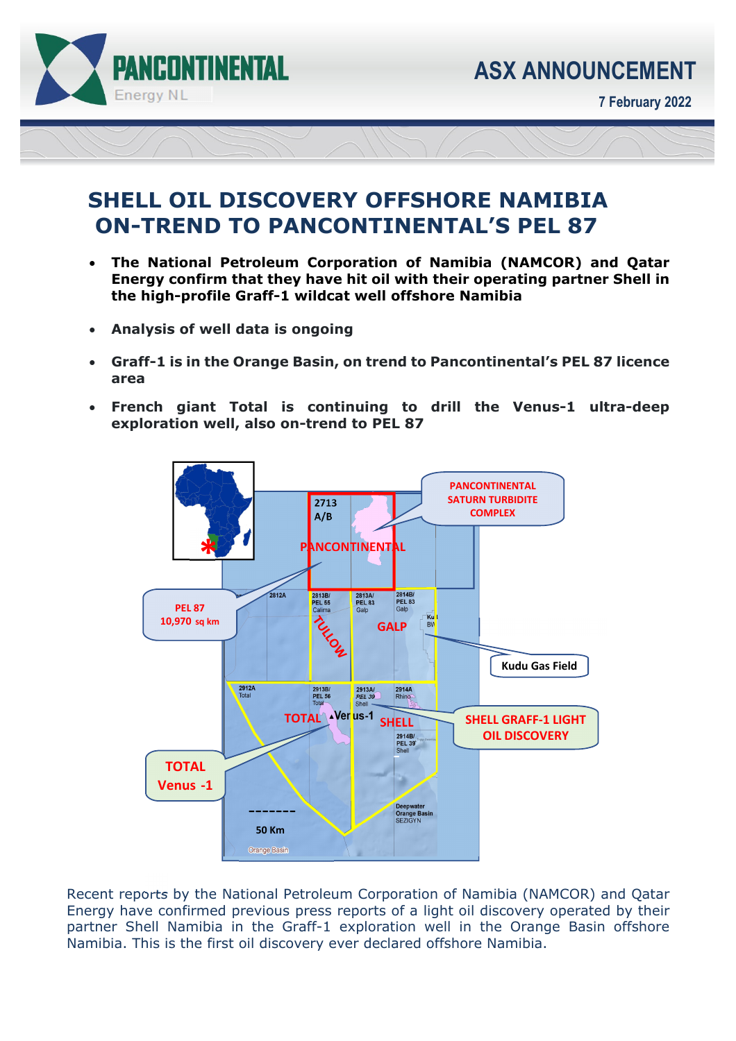

ī

**7 February 2022** 

## **SHELL OIL DISCOVERY OFFSHORE NAMIBIA ON-TREND TO PANCONTINENTAL'S PEL 87**

- **The National Petroleum Corporation of Namibia (NAMCOR) and Qatar Energy confirm that they have hit oil with their operating partner Shell in the high-profile Graff-1 wildcat well offshore Namibia**
- **Analysis of well data is ongoing**
- **Graff-1 is in the Orange Basin, on trend to Pancontinental's PEL 87 licence area**
- **French giant Total is continuing to drill the Venus-1 ultra-deep exploration well, also on-trend to PEL 87**



Recent reports by the National Petroleum Corporation of Namibia (NAMCOR) and Qatar Energy have confirmed previous press reports of a light oil discovery operated by their partner Shell Namibia in the Graff-1 exploration well in the Orange Basin offshore Namibia. This is the first oil discovery ever declared offshore Namibia.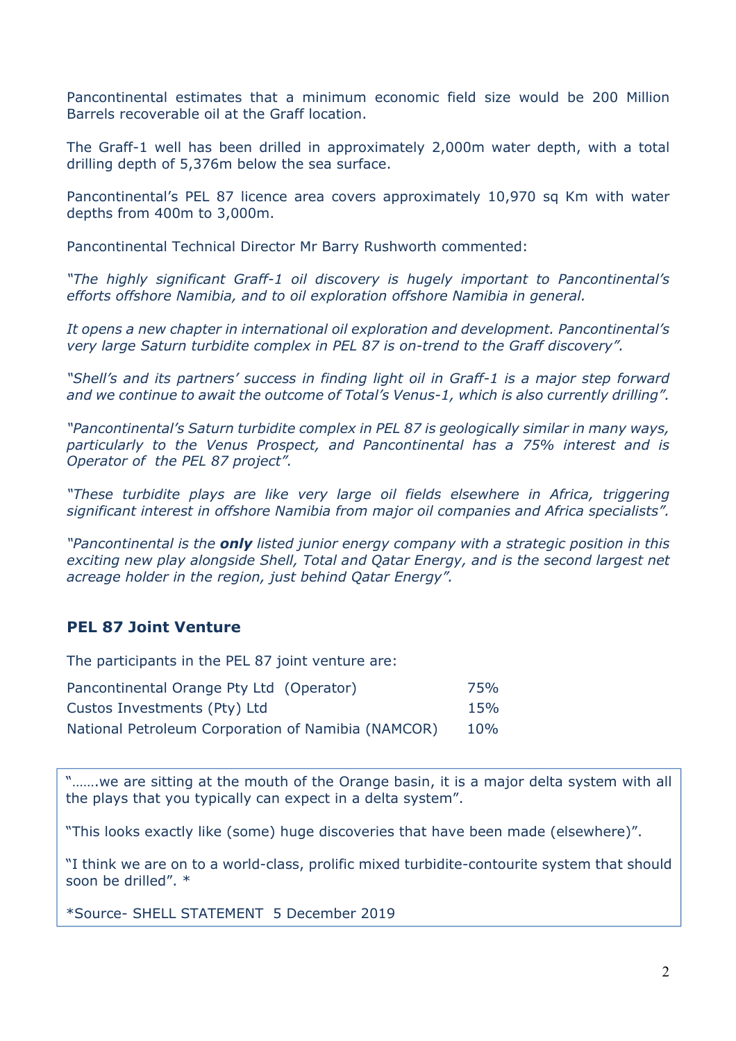Pancontinental estimates that a minimum economic field size would be 200 Million Barrels recoverable oil at the Graff location.

The Graff-1 well has been drilled in approximately 2,000m water depth, with a total drilling depth of 5,376m below the sea surface.

Pancontinental's PEL 87 licence area covers approximately 10,970 sq Km with water depths from 400m to 3,000m.

Pancontinental Technical Director Mr Barry Rushworth commented:

*"The highly significant Graff-1 oil discovery is hugely important to Pancontinental's efforts offshore Namibia, and to oil exploration offshore Namibia in general.* 

*It opens a new chapter in international oil exploration and development. Pancontinental's very large Saturn turbidite complex in PEL 87 is on-trend to the Graff discovery".* 

*"Shell's and its partners' success in finding light oil in Graff-1 is a major step forward and we continue to await the outcome of Total's Venus-1, which is also currently drilling".* 

*"Pancontinental's Saturn turbidite complex in PEL 87 is geologically similar in many ways, particularly to the Venus Prospect, and Pancontinental has a 75% interest and is Operator of the PEL 87 project".* 

*"These turbidite plays are like very large oil fields elsewhere in Africa, triggering significant interest in offshore Namibia from major oil companies and Africa specialists".* 

*"Pancontinental is the only listed junior energy company with a strategic position in this exciting new play alongside Shell, Total and Qatar Energy, and is the second largest net acreage holder in the region, just behind Qatar Energy".* 

## **PEL 87 Joint Venture**

The participants in the PEL 87 joint venture are:

| Pancontinental Orange Pty Ltd (Operator)           | 75% |
|----------------------------------------------------|-----|
| Custos Investments (Pty) Ltd                       | 15% |
| National Petroleum Corporation of Namibia (NAMCOR) | 10% |

"…….we are sitting at the mouth of the Orange basin, it is a major delta system with all the plays that you typically can expect in a delta system".

"This looks exactly like (some) huge discoveries that have been made (elsewhere)".

"I think we are on to a world-class, prolific mixed turbidite-contourite system that should soon be drilled". \*

\*Source- SHELL STATEMENT 5 December 2019